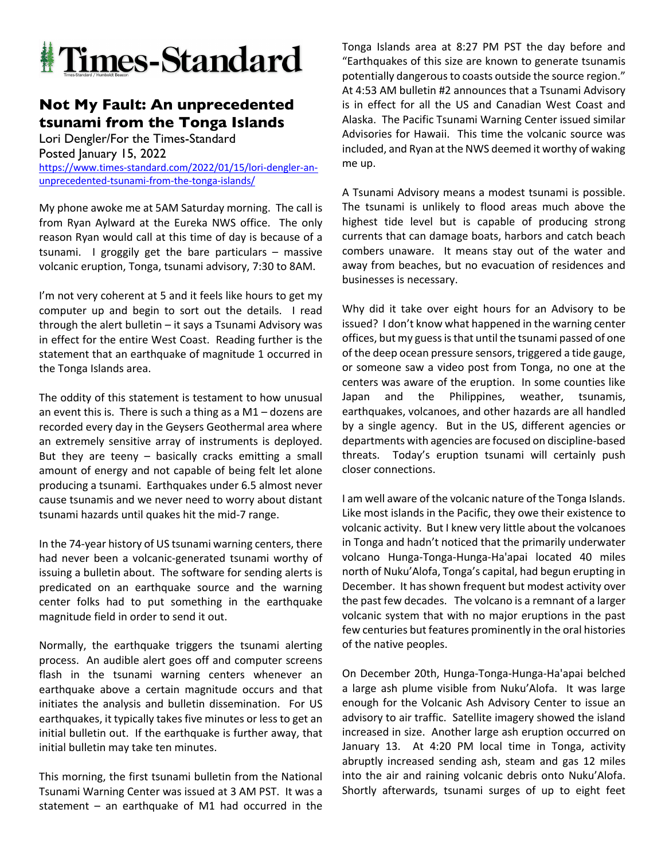

## **Not My Fault: An unprecedented tsunami from the Tonga Islands**

Lori Dengler/For the Times-Standard Posted January 15, 2022 https://www.times-standard.com/2022/01/15/lori-dengler-anunprecedented-tsunami-from-the-tonga-islands/

My phone awoke me at 5AM Saturday morning. The call is from Ryan Aylward at the Eureka NWS office. The only reason Ryan would call at this time of day is because of a tsunami. I groggily get the bare particulars – massive volcanic eruption, Tonga, tsunami advisory, 7:30 to 8AM.

I'm not very coherent at 5 and it feels like hours to get my computer up and begin to sort out the details. I read through the alert bulletin – it says a Tsunami Advisory was in effect for the entire West Coast. Reading further is the statement that an earthquake of magnitude 1 occurred in the Tonga Islands area.

The oddity of this statement is testament to how unusual an event this is. There is such a thing as a M1 – dozens are recorded every day in the Geysers Geothermal area where an extremely sensitive array of instruments is deployed. But they are teeny  $-$  basically cracks emitting a small amount of energy and not capable of being felt let alone producing a tsunami. Earthquakes under 6.5 almost never cause tsunamis and we never need to worry about distant tsunami hazards until quakes hit the mid-7 range.

In the 74-year history of US tsunami warning centers, there had never been a volcanic-generated tsunami worthy of issuing a bulletin about. The software for sending alerts is predicated on an earthquake source and the warning center folks had to put something in the earthquake magnitude field in order to send it out.

Normally, the earthquake triggers the tsunami alerting process. An audible alert goes off and computer screens flash in the tsunami warning centers whenever an earthquake above a certain magnitude occurs and that initiates the analysis and bulletin dissemination. For US earthquakes, it typically takes five minutes or less to get an initial bulletin out. If the earthquake is further away, that initial bulletin may take ten minutes.

This morning, the first tsunami bulletin from the National Tsunami Warning Center was issued at 3 AM PST. It was a statement – an earthquake of M1 had occurred in the Tonga Islands area at 8:27 PM PST the day before and "Earthquakes of this size are known to generate tsunamis potentially dangerous to coasts outside the source region." At 4:53 AM bulletin #2 announces that a Tsunami Advisory is in effect for all the US and Canadian West Coast and Alaska. The Pacific Tsunami Warning Center issued similar Advisories for Hawaii. This time the volcanic source was included, and Ryan at the NWS deemed it worthy of waking me up.

A Tsunami Advisory means a modest tsunami is possible. The tsunami is unlikely to flood areas much above the highest tide level but is capable of producing strong currents that can damage boats, harbors and catch beach combers unaware. It means stay out of the water and away from beaches, but no evacuation of residences and businesses is necessary.

Why did it take over eight hours for an Advisory to be issued? I don't know what happened in the warning center offices, but my guess is that until the tsunami passed of one of the deep ocean pressure sensors, triggered a tide gauge, or someone saw a video post from Tonga, no one at the centers was aware of the eruption. In some counties like Japan and the Philippines, weather, tsunamis, earthquakes, volcanoes, and other hazards are all handled by a single agency. But in the US, different agencies or departments with agencies are focused on discipline-based threats. Today's eruption tsunami will certainly push closer connections.

I am well aware of the volcanic nature of the Tonga Islands. Like most islands in the Pacific, they owe their existence to volcanic activity. But I knew very little about the volcanoes in Tonga and hadn't noticed that the primarily underwater volcano Hunga-Tonga-Hunga-Ha'apai located 40 miles north of Nuku'Alofa, Tonga's capital, had begun erupting in December. It has shown frequent but modest activity over the past few decades. The volcano is a remnant of a larger volcanic system that with no major eruptions in the past few centuries but features prominently in the oral histories of the native peoples.

On December 20th, Hunga-Tonga-Hunga-Ha'apai belched a large ash plume visible from Nuku'Alofa. It was large enough for the Volcanic Ash Advisory Center to issue an advisory to air traffic. Satellite imagery showed the island increased in size. Another large ash eruption occurred on January 13. At 4:20 PM local time in Tonga, activity abruptly increased sending ash, steam and gas 12 miles into the air and raining volcanic debris onto Nuku'Alofa. Shortly afterwards, tsunami surges of up to eight feet